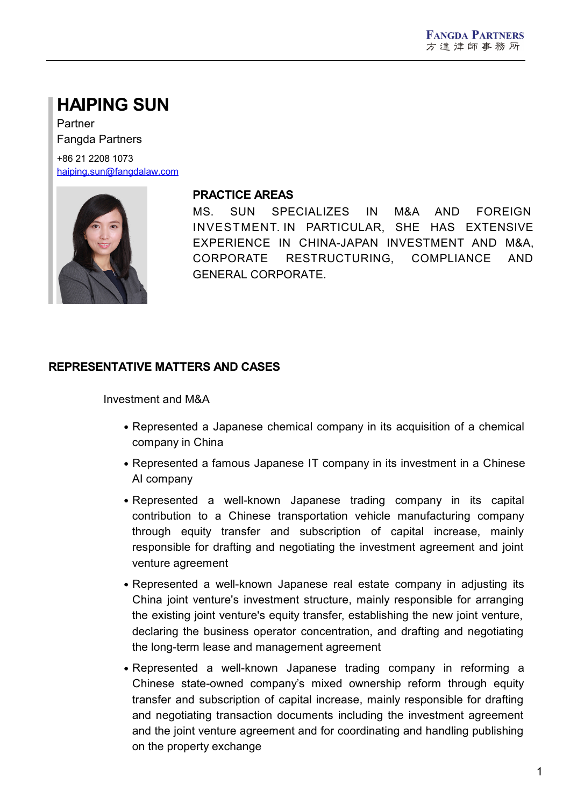# **HAIPING SUN**

Partner Fangda Partners

+86 21 2208 1073 [haiping.sun@fangdalaw.com](mailto:haiping.sun@fangdalaw.com)



## **PRACTICE AREAS**

MS. SUN SPECIALIZES IN M&A AND FOREIGN INVESTMENT. IN PARTICULAR, SHE HAS EXTENSIVE EXPERIENCE IN CHINA-JAPAN INVESTMENT AND M&A, CORPORATE RESTRUCTURING, COMPLIANCE AND GENERAL CORPORATE.

## **REPRESENTATIVE MATTERS AND CASES**

Investment and M&A

- Represented a Japanese chemical company in its acquisition of a chemical company in China
- Represented a famous Japanese IT company in its investment in a Chinese AI company
- Represented a well-known Japanese trading company in its capital contribution to a Chinese transportation vehicle manufacturing company through equity transfer and subscription of capital increase, mainly responsible for drafting and negotiating the investment agreement and joint venture agreement
- Represented a well-known Japanese real estate company in adjusting its China joint venture's investment structure, mainly responsible for arranging the existing joint venture's equity transfer, establishing the new joint venture, declaring the business operator concentration, and drafting and negotiating the long-term lease and management agreement
- Represented a well-known Japanese trading company in reforming a Chinese state-owned company's mixed ownership reform through equity transfer and subscription of capital increase, mainly responsible for drafting and negotiating transaction documents including the investment agreement and the joint venture agreement and for coordinating and handling publishing on the property exchange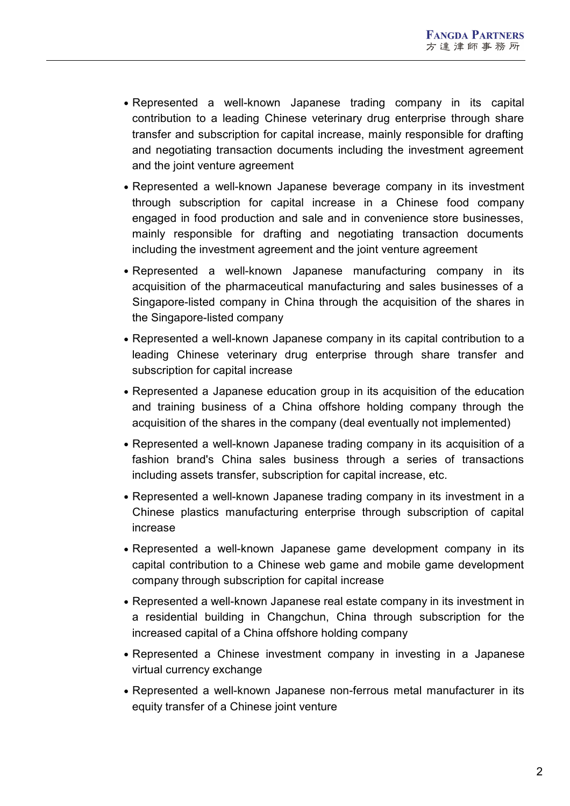- Represented a well-known Japanese trading company in its capital contribution to a leading Chinese veterinary drug enterprise through share transfer and subscription for capital increase, mainly responsible for drafting and negotiating transaction documents including the investment agreement and the joint venture agreement
- Represented a well-known Japanese beverage company in its investment through subscription for capital increase in a Chinese food company engaged in food production and sale and in convenience store businesses, mainly responsible for drafting and negotiating transaction documents including the investment agreement and the joint venture agreement
- Represented a well-known Japanese manufacturing company in its acquisition of the pharmaceutical manufacturing and sales businesses of a Singapore-listed company in China through the acquisition of the shares in the Singapore-listed company
- Represented a well-known Japanese company in its capital contribution to a leading Chinese veterinary drug enterprise through share transfer and subscription for capital increase
- Represented a Japanese education group in its acquisition of the education and training business of a China offshore holding company through the acquisition of the shares in the company (deal eventually not implemented)
- Represented a well-known Japanese trading company in its acquisition of a fashion brand's China sales business through a series of transactions including assets transfer, subscription for capital increase, etc.
- Represented a well-known Japanese trading company in its investment in a Chinese plastics manufacturing enterprise through subscription of capital increase
- Represented a well-known Japanese game development company in its capital contribution to a Chinese web game and mobile game development company through subscription for capital increase
- Represented a well-known Japanese real estate company in its investment in a residential building in Changchun, China through subscription for the increased capital of a China offshore holding company
- Represented a Chinese investment company in investing in a Japanese virtual currency exchange
- Represented a well-known Japanese non-ferrous metal manufacturer in its equity transfer of a Chinese joint venture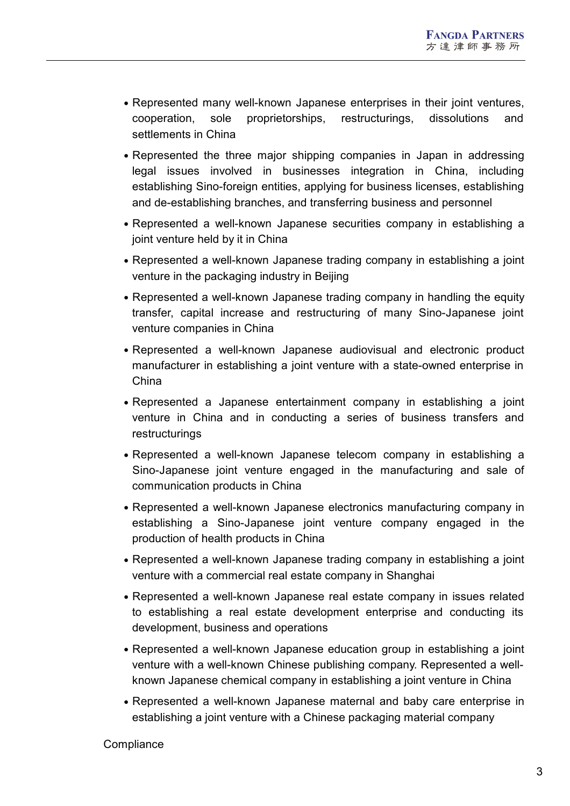- Represented many well-known Japanese enterprises in their joint ventures, cooperation, sole proprietorships, restructurings, dissolutions and settlements in China
- Represented the three major shipping companies in Japan in addressing legal issues involved in businesses integration in China, including establishing Sino-foreign entities, applying for business licenses, establishing and de-establishing branches, and transferring business and personnel
- Represented a well-known Japanese securities company in establishing a joint venture held by it in China
- Represented a well-known Japanese trading company in establishing a joint venture in the packaging industry in Beijing
- Represented a well-known Japanese trading company in handling the equity transfer, capital increase and restructuring of many Sino-Japanese joint venture companies in China
- Represented a well-known Japanese audiovisual and electronic product manufacturer in establishing a joint venture with a state-owned enterprise in China
- Represented a Japanese entertainment company in establishing a joint venture in China and in conducting a series of business transfers and restructurings
- Represented a well-known Japanese telecom company in establishing a Sino-Japanese joint venture engaged in the manufacturing and sale of communication products in China
- Represented a well-known Japanese electronics manufacturing company in establishing a Sino-Japanese joint venture company engaged in the production of health products in China
- Represented a well-known Japanese trading company in establishing a joint venture with a commercial real estate company in Shanghai
- Represented a well-known Japanese real estate company in issues related to establishing a real estate development enterprise and conducting its development, business and operations
- Represented a well-known Japanese education group in establishing a joint venture with a well-known Chinese publishing company. Represented a well known Japanese chemical company in establishing a joint venture in China
- Represented a well-known Japanese maternal and baby care enterprise in establishing a joint venture with a Chinese packaging material company

#### **Compliance**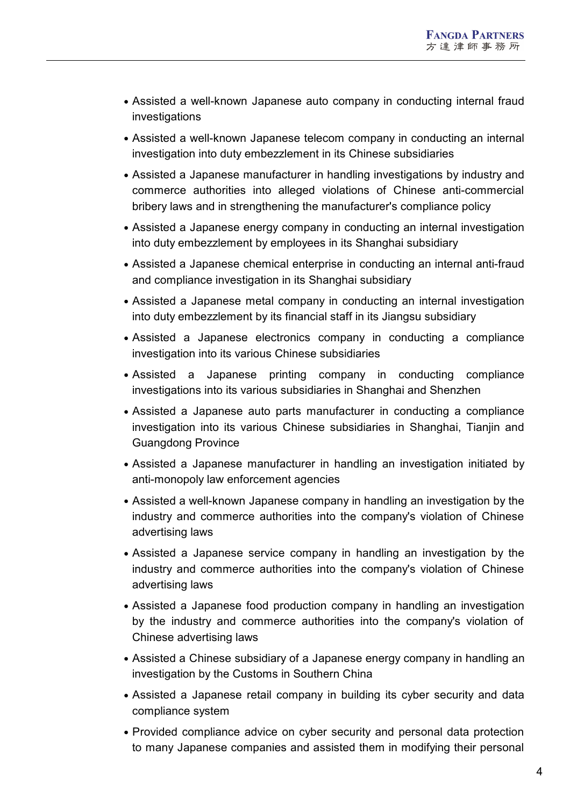- Assisted a well-known Japanese auto company in conducting internal fraud investigations
- Assisted a well-known Japanese telecom company in conducting an internal investigation into duty embezzlement in its Chinese subsidiaries
- Assisted a Japanese manufacturer in handling investigations by industry and commerce authorities into alleged violations of Chinese anti-commercial bribery laws and in strengthening the manufacturer's compliance policy
- Assisted a Japanese energy company in conducting an internal investigation into duty embezzlement by employees in its Shanghai subsidiary
- Assisted a Japanese chemical enterprise in conducting an internal anti-fraud and compliance investigation in its Shanghai subsidiary
- Assisted a Japanese metal company in conducting an internal investigation into duty embezzlement by its financial staff in its Jiangsu subsidiary
- Assisted a Japanese electronics company in conducting a compliance investigation into its various Chinese subsidiaries
- Assisted a Japanese printing company in conducting compliance investigations into its various subsidiaries in Shanghai and Shenzhen
- Assisted a Japanese auto parts manufacturer in conducting a compliance investigation into its various Chinese subsidiaries in Shanghai, Tianjin and Guangdong Province
- Assisted a Japanese manufacturer in handling an investigation initiated by anti-monopoly law enforcement agencies
- Assisted a well-known Japanese company in handling an investigation by the industry and commerce authorities into the company's violation of Chinese advertising laws
- Assisted a Japanese service company in handling an investigation by the industry and commerce authorities into the company's violation of Chinese advertising laws
- Assisted a Japanese food production company in handling an investigation by the industry and commerce authorities into the company's violation of Chinese advertising laws
- Assisted a Chinese subsidiary of a Japanese energy company in handling an investigation by the Customs in Southern China
- Assisted a Japanese retail company in building its cyber security and data compliance system
- Provided compliance advice on cyber security and personal data protection to many Japanese companies and assisted them in modifying their personal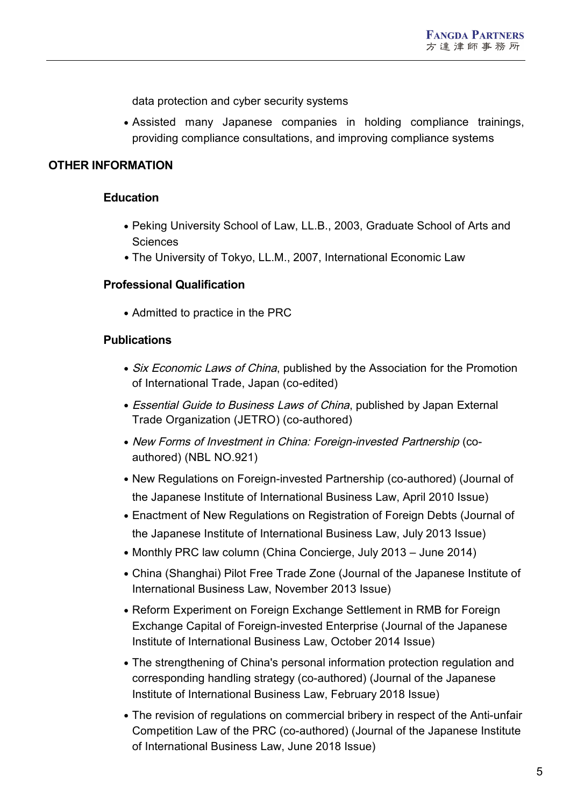data protection and cyber security systems

 Assisted many Japanese companies in holding compliance trainings, providing compliance consultations, and improving compliance systems

## **OTHER INFORMATION**

#### **Education**

- Peking University School of Law, LL.B., 2003, Graduate School of Arts and **Sciences**
- The University of Tokyo, LL.M., 2007, International Economic Law

#### **Professional Qualification**

Admitted to practice in the PRC

#### **Publications**

- Six Economic Laws of China, published by the Association for the Promotion of International Trade, Japan (co-edited)
- Essential Guide to Business Laws of China, published by Japan External Trade Organization (JETRO) (co-authored)
- New Forms of Investment in China: Foreign-invested Partnership (coauthored) (NBL NO.921)
- New Regulations on Foreign-invested Partnership (co-authored) (Journal of the Japanese Institute of International Business Law, April 2010 Issue)
- Enactment of New Regulations on Registration of Foreign Debts (Journal of the Japanese Institute of International Business Law, July 2013 Issue)
- Monthly PRC law column (China Concierge, July 2013 June 2014)
- China (Shanghai) Pilot Free Trade Zone (Journal of the Japanese Institute of International Business Law, November 2013 Issue)
- Reform Experiment on Foreign Exchange Settlement in RMB for Foreign Exchange Capital of Foreign-invested Enterprise (Journal of the Japanese Institute of International Business Law, October 2014 Issue)
- The strengthening of China's personal information protection regulation and corresponding handling strategy (co-authored) (Journal of the Japanese Institute of International Business Law, February 2018 Issue)
- The revision of regulations on commercial bribery in respect of the Anti-unfair Competition Law of the PRC (co-authored) (Journal of the Japanese Institute 5 of International Business Law, June 2018 Issue)